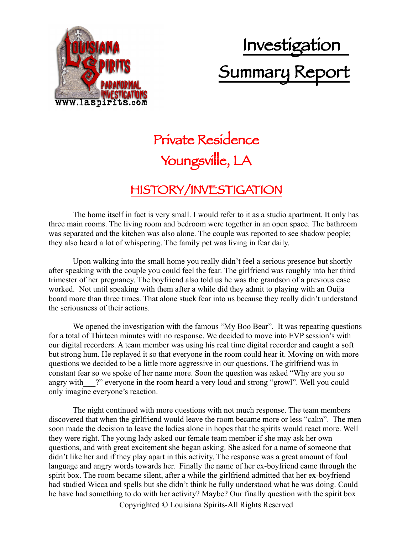

## Investigation Summary Report

## Private Residence Youngsville, LA

## HISTORY/INVESTIGATION

The home itself in fact is very small. I would refer to it as a studio apartment. It only has three main rooms. The living room and bedroom were together in an open space. The bathroom was separated and the kitchen was also alone. The couple was reported to see shadow people; they also heard a lot of whispering. The family pet was living in fear daily.

Upon walking into the small home you really didn't feel a serious presence but shortly after speaking with the couple you could feel the fear. The girlfriend was roughly into her third trimester of her pregnancy. The boyfriend also told us he was the grandson of a previous case worked. Not until speaking with them after a while did they admit to playing with an Ouija board more than three times. That alone stuck fear into us because they really didn't understand the seriousness of their actions.

We opened the investigation with the famous "My Boo Bear". It was repeating questions for a total of Thirteen minutes with no response. We decided to move into EVP session's with our digital recorders. A team member was using his real time digital recorder and caught a soft but strong hum. He replayed it so that everyone in the room could hear it. Moving on with more questions we decided to be a little more aggressive in our questions. The girlfriend was in constant fear so we spoke of her name more. Soon the question was asked "Why are you so angry with <sup>?</sup> everyone in the room heard a very loud and strong "growl". Well you could only imagine everyone's reaction.

The night continued with more questions with not much response. The team members discovered that when the girlfriend would leave the room became more or less "calm". The men soon made the decision to leave the ladies alone in hopes that the spirits would react more. Well they were right. The young lady asked our female team member if she may ask her own questions, and with great excitement she began asking. She asked for a name of someone that didn't like her and if they play apart in this activity. The response was a great amount of foul language and angry words towards her. Finally the name of her ex-boyfriend came through the spirit box. The room became silent, after a while the girlfriend admitted that her ex-boyfriend had studied Wicca and spells but she didn't think he fully understood what he was doing. Could he have had something to do with her activity? Maybe? Our finally question with the spirit box

Copyrighted © Louisiana Spirits-All Rights Reserved